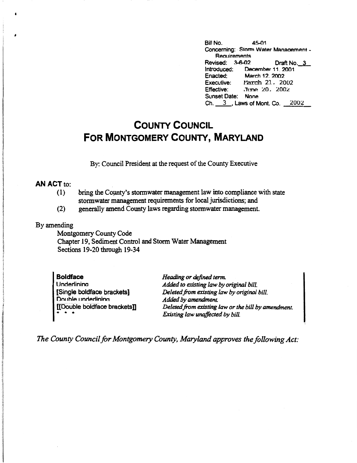Bill No. 45-01 Concerning:• Storm **Water** Manaaement - Requirements<br>Revised: 3-6-02 Draft No. 3 Introduced: December 11. 2001 Enacted: March 12. 2002 Executive: March 21, 2002 Effective: June 20, 2002 Sunset Date: None Ch. \_3\_, Laws of Mont. Co. 2002

## **COUNTY COUNCIL FOR MONTGOMERY COUNTY, MARYLAND**

By: Council President at the request of the County Executive

## **AN ACT** to:

- (1) bring the County's stormwater management law into compliance with state stormwater management requirements for local jurisdictions; and
- (2) generally amend County laws regarding stonnwater management.

## By amending

Montgomery County Code Chapter 19, Sediment Control and Storm Water Management Sections 19-20 through 19-34

| <b>Boldface</b>              |
|------------------------------|
| Underlining                  |
| [Single boldface brackets]   |
| Double underlining           |
| [[Double boldface brackets]] |

*Heading or defined term. Added to existing law* by *original bill. Deleted.from existing law* by *original bill. Added* by *amendment. Deleted from existing* law *or the bill by amendment. Existing law unaffected* by *bill.* 

*The County Council for Montgomery County, Maryland approves the following Act:*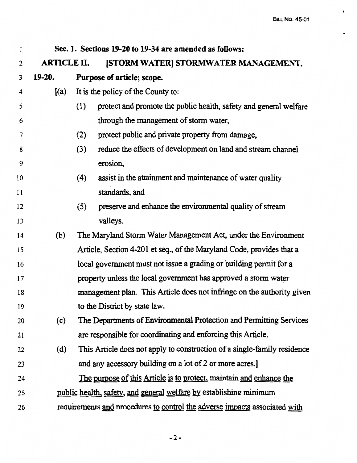$\ddot{\phantom{a}}$ 

 $\ddot{\phantom{0}}$ 

| 1  | Sec. 1. Sections 19-20 to 19-34 are amended as follows:                |                                                                    |                                                                            |  |  |
|----|------------------------------------------------------------------------|--------------------------------------------------------------------|----------------------------------------------------------------------------|--|--|
| 2  | <b>ARTICLE II.</b>                                                     |                                                                    | [STORM WATER] STORMWATER MANAGEMENT.                                       |  |  |
| 3  | 19-20.                                                                 |                                                                    | Purpose of article; scope.                                                 |  |  |
| 4  | (a)                                                                    |                                                                    | It is the policy of the County to:                                         |  |  |
| 5  |                                                                        | (1)                                                                | protect and promote the public health, safety and general welfare          |  |  |
| 6  |                                                                        |                                                                    | through the management of storm water,                                     |  |  |
| 7  |                                                                        | (2)                                                                | protect public and private property from damage,                           |  |  |
| 8  |                                                                        | (3)                                                                | reduce the effects of development on land and stream channel               |  |  |
| 9  |                                                                        |                                                                    | erosion,                                                                   |  |  |
| 10 |                                                                        | (4)                                                                | assist in the attainment and maintenance of water quality                  |  |  |
| 11 |                                                                        |                                                                    | standards, and                                                             |  |  |
| 12 |                                                                        | (5)                                                                | preserve and enhance the environmental quality of stream                   |  |  |
| 13 |                                                                        |                                                                    | valleys.                                                                   |  |  |
| 14 | (b)                                                                    |                                                                    | The Maryland Storm Water Management Act, under the Environment             |  |  |
| 15 |                                                                        |                                                                    | Article, Section 4-201 et seq., of the Maryland Code, provides that a      |  |  |
| 16 |                                                                        | local government must not issue a grading or building permit for a |                                                                            |  |  |
| 17 | property unless the local government has approved a storm water        |                                                                    |                                                                            |  |  |
| 18 | management plan. This Article does not infringe on the authority given |                                                                    |                                                                            |  |  |
| 19 |                                                                        |                                                                    | to the District by state law.                                              |  |  |
| 20 | (c)                                                                    |                                                                    | The Departments of Environmental Protection and Permitting Services        |  |  |
| 21 |                                                                        |                                                                    | are responsible for coordinating and enforcing this Article.               |  |  |
| 22 | (d)                                                                    |                                                                    | This Article does not apply to construction of a single-family residence   |  |  |
| 23 |                                                                        |                                                                    | and any accessory building on a lot of 2 or more acres.                    |  |  |
| 24 |                                                                        |                                                                    | The purpose of this Article is to protect, maintain and enhance the        |  |  |
| 25 |                                                                        |                                                                    | public health, safety, and general welfare by establishing minimum         |  |  |
| 26 |                                                                        |                                                                    | requirements and procedures to control the adverse impacts associated with |  |  |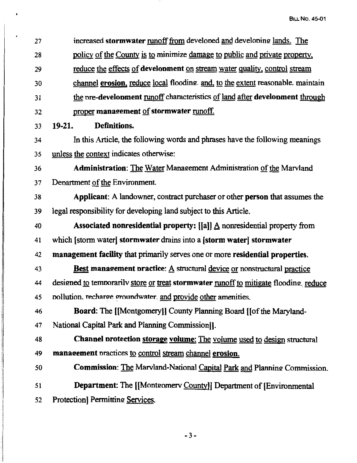27 28 29 30 31 increased **stormwater** runoff from develoned and develoning lands. The policy of the County is to minimize damage to public and private property, reduce the effects of **develonment** on stream water quality, control stream channel **erosion**, reduce local flooding. and, to the extent reasonable. maintain the **nre-develonment** runoff characteristics of land after **develonment** through 32 proper **manaeement** of **stormwater** runoff. 33 **19-21. Definitions.**  34 In this Article, the following words and phrases have the following meanings 35 unless the context indicates otherwise: 36 **Administration:** The Water Management Administration of the Marvland 37 Department of the Environment. 38 **Applicant:** A landowner, contract purchaser or other **person** that assumes the 39 legal responsibility for developing land subject to this Article. <sup>40</sup>**Associated nonresidential property:** [(al] A nonresidential property from 41 which (storm water] **stormwater** drains into a **(storm water] stormwater**  42 **management facility** that primarily serves one or more **residential properties.**  43 **Best manaeement nractiee:** A structural device or nonstructural practice 44 designed to temporarily store or treat **stormwater runoff** to mitigate flooding .reduce 45 nollution. recharge groundwater. and provide other amenities. 46 **Board:** The [[Montgomery]] County Planning Board ((of the Maryland-47 National Capital Park and Planning Commission]]. 48 **Channel nrotection storage volume:** The volume used to design structural 49 **manaeement** nractices to control stream channel **erosion.**  50 **Commission:** The Marvland-National Capital Park and Planning Commission. 51 **Department:** The [[Montgomery County]] Department of [Environmental 52 Protection] Permitting Services.

-3-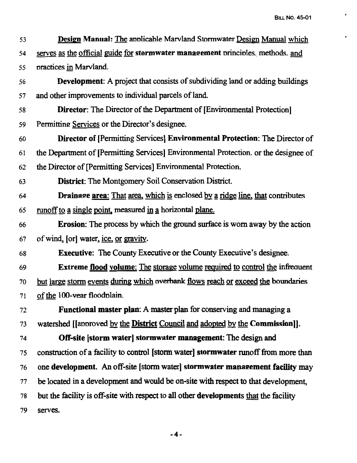$\bullet$ 

 $\hat{\phantom{a}}$ 

| 53 | Design Manual: The applicable Marvland Stormwater Design Manual which                 |
|----|---------------------------------------------------------------------------------------|
| 54 | serves as the official guide for stormwater management principles, methods, and       |
| 55 | practices in Marvland.                                                                |
| 56 | <b>Development:</b> A project that consists of subdividing land or adding buildings   |
| 57 | and other improvements to individual parcels of land.                                 |
| 58 | <b>Director:</b> The Director of the Department of [Environmental Protection]         |
| 59 | Permitting Services or the Director's designee.                                       |
| 60 | <b>Director of [Permitting Services] Environmental Protection:</b> The Director of    |
| 61 | the Department of [Permitting Services] Environmental Protection. or the designee of  |
| 62 | the Director of [Permitting Services] Environmental Protection.                       |
| 63 | <b>District:</b> The Montgomery Soil Conservation District.                           |
| 64 | <b>Drainage area:</b> That area, which is enclosed by a ridge line, that contributes  |
| 65 | <u>runoff to a single point</u> , measured in a horizontal plane.                     |
| 66 | <b>Erosion:</b> The process by which the ground surface is worn away by the action    |
| 67 | of wind, [or] water, ice, or gravity.                                                 |
| 68 | <b>Executive:</b> The County Executive or the County Executive's designee.            |
| 69 | <b>Extreme flood volume:</b> The storage volume required to control the infrequent    |
| 70 | but large storm events during which overbank flows reach or exceed the boundaries     |
| 71 | of the 100-vear floodplain.                                                           |
| 72 | Functional master plan: A master plan for conserving and managing a                   |
| 73 | watershed [[approved by the District Council and adopted by the Commission]].         |
| 74 | <b>Off-site [storm water] stormwater management:</b> The design and                   |
| 75 | construction of a facility to control [storm water] stormwater runoff from more than  |
| 76 | one development. An off-site [storm water] stormwater management facility may         |
| 77 | be located in a development and would be on-site with respect to that development,    |
| 78 | but the facility is off-site with respect to all other developments that the facility |
| 79 | serves.                                                                               |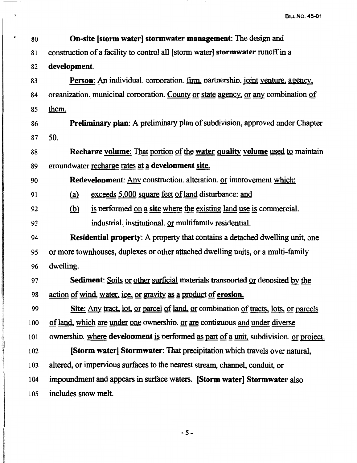| 80  | <b>On-site [storm water] stormwater management:</b> The design and                   |
|-----|--------------------------------------------------------------------------------------|
| 81  | construction of a facility to control all [storm water] stormwater runoff in a       |
| 82  | development.                                                                         |
| 83  | Person: An individual. corporation. firm, partnership. joint venture, agency,        |
| 84  | organization. municipal corporation. County or state agency, or any combination of   |
| 85  | them.                                                                                |
| 86  | Preliminary plan: A preliminary plan of subdivision, approved under Chapter          |
| 87  | 50.                                                                                  |
| 88  | Recharge volume: That portion of the water quality volume used to maintain           |
| 89  | groundwater recharge rates at a development site.                                    |
| 90  | <b>Redevelopment:</b> Any construction. alteration. or improvement which:            |
| 91  | exceeds 5,000 square feet of land disturbance: and<br><u>(a)</u>                     |
| 92  | is performed on a site where the existing land use is commercial.<br><u>(b)</u>      |
| 93  | industrial institutional or multifamily residential.                                 |
| 94  | Residential property: A property that contains a detached dwelling unit, one         |
| 95  | or more townhouses, duplexes or other attached dwelling units, or a multi-family     |
| 96  | dwelling.                                                                            |
| 97  | Sediment: Soils or other surficial materials transported or deposited by the         |
| 98  | action of wind, water, ice, or gravity as a product of erosion.                      |
| 99  | Site: Any tract, lot, or parcel of land, or combination of tracts, lots, or parcels  |
| 100 | of land, which are under one ownership. or are contiguous and under diverse          |
| 101 | ownership where development is performed as part of a unit, subdivision. or project. |
| 102 | [Storm water] Stormwater: That precipitation which travels over natural,             |
| 103 | altered, or impervious surfaces to the nearest stream, channel, conduit, or          |
| 104 | impoundment and appears in surface waters. [Storm water] Stormwater also             |
| 105 | includes snow melt.                                                                  |
|     |                                                                                      |

 $\pmb{\cdot}$ 

-5-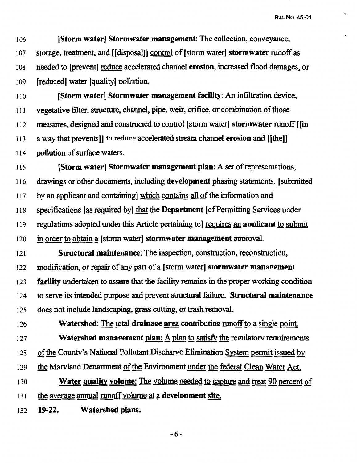¢

I 06 **(Storm water] Stormwater management:** The collection, conveyance, 107 storage, treatment, and [[disposal]] control of [storm water] **stormwater** runoff as 108 needed to [prevent] reduce accelerated channel **erosion**, increased flood damages, or 109 (reduced] water (quality] nollution.

<sup>11</sup>o **(Storm water) Stormwater management facility:** An infiltration device, 111 vegetative filter, structure, channel, pipe, weir, orifice, or combination of those 112 measures, designed and constructed to control (storm water] **stormwater** runoff [(in 113 a way that prevents]] to reduce accelerated stream channel **erosion** and [[the]] 114 pollution of surface waters.

115 **[Storm water] Stormwater management plan:** A set of representations, 116 drawings or other documents, including **development** phasing statements, ( submitted 117 by an applicant and containing] which contains all of the information and 118 specifications (as required by] that the **Department** (of Permitting Services under 119 regulations adopted under this Article pertaining to] reguires an **aoolicant** to submit 120 in order to obtain~ (storm water] **stormwater management** annroval. 121 **Structural maintenance:** The inspection, construction, reconstruction,

122 modification, or repair of any part of a ( storm water] **stormwater manaeement**  123 **facility** undertaken to assure that the facility remains in the proper working condition 124 to serve its intended purpose and prevent structural failure. **Structural maintenance**  125 does not include landscaping, grass cutting, or trash removal.

126 **Watershed:** The total **drainage area** contributing runoff to a single point. 127 **Watershed management plan:** A plan to satisfy the regulatory requirements 128 of the County's National Pollutant Discharge Elimination System permit issued by 129 the Marvland Denartment of the Environment under the federal Clean Water Act.

<sup>130</sup>**Water quality volume:** The volume needed to capture and treat 90 percent of 131 the average annual runoff volume at a **development site.** 

132 **19-22. Watershed plans.** 

-6-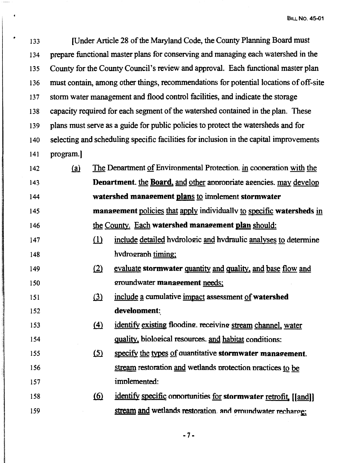133 [Under Article 28 of the Maryland Code, the County Planning Board must 134 prepare functional master plans for conserving and managing each watershed in the 135 County for the County Council's review and approval. Each functional master plan 136 must contain, among other things, recommendations for potential locations of off-site 137 storm water management and flood control facilities, and indicate the storage 138 capacity required for each segment of the watershed contained in the plan. These 139 plans must serve as a guide for public policies to protect the watersheds and for 140 selecting and scheduling specific facilities for inclusion in the capital improvements 141 program.]

142  $(a)$ 143 144 145 146 147 148 149 150 151 152 153 The Denartment of Environmental Protection. in cooneration with the **Department.** the **Board**, and other appropriate agencies. may develop **watershed manaeement plans** to imnlement **stormwater manaeement** policies that g}y individuallv to specific **watersheds** in the County. Each **watershed manaeement plan** should: (1) include detailed hvdrologic and hvdraulic analyses to determine hvdrograph timing; ill evaluate **stormwater** quantity and quality, and base flow and Q:fOundwater **manaeement** needs; (3) include a cumulative impact assessment of **watershed develooment:**   $f(4)$  identify existing flooding. receiving stream channel, water

- 154 155 quality, biological resources, and habitat conditions: (5) specify the types of quantitative **stormwater management.**
- 156 157 stream restoration and wetlands protection practices to be implemented:
- 158 159 (6) identify specific opportunities for **stormwater** retrofit, [[and]] stream and wetlands restoration. and omundwater recharge:

-7-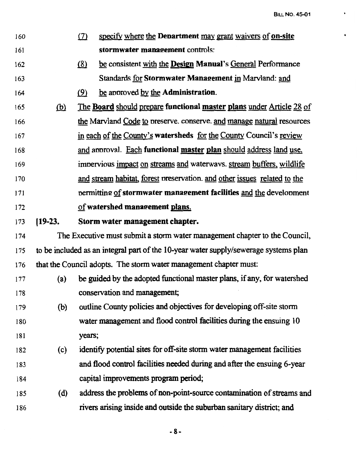- 160 161 (7) specify where the **Department** may grant waivers of **on-site stormwater manaeement** controls:
- 162 .(fil be consistent with the **Design Manual's** General Performance 163 Standards for **Stormwater Manaeement** in Marvland: and
- 164 (9) be approved by the **Administration**.
- 165 ® The **Board** should prepare **functional master plans** under Article 28 of 166 167 168 169 170 171 172 the Marvland Code to nreserve. conserve. and manage natural resources in each of the County's **watersheds** for the County Council's review and annroval. Each **functional master plan** should address land use, imnervious impact on streams and waterwavs. stream buffers, wildlife and stream habitat, forest preservation, and other issues related to the nermittim! of **stormwater manae:ement facilities** and the develonment of **watershed manaeement plans.**
- 173 **[19-23. Storm water management chapter.**
- 174 The Executive must submit a storm water management chapter to the Council, 175 to be included as an integral part of the 10-year water supply/sewerage systems plan 176 that the Council adopts. The storm water management chapter must:
- 177 ( a) be guided by the adopted functional master plans, if any, for watershed 178 conservation and management;
- 179 (b) outline County policies and objectives for developing off-site storm 180 water management and flood control facilities during the ensuing 10 181 vears;
- 182 ( c) identify potential sites for off-site stonn water management facilities 183 and flood control facilities needed during and after the ensuing 6-year 184 capital improvements program period;
- 185 ( d) address the problems of non-point-source contamination of streams and 186 rivers arising inside and outside the suburban sanitary district; and

-8-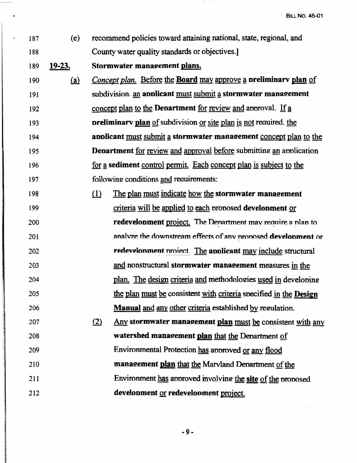187 188 189 **19-23.**  190 191 192 193 194 195 196 197 198 199 200 201 202 203 204 205 206 207 208 209 210 211 212 (e)  $(a)$ recommend policies toward attaining national, state, regional, and County water quality standards or objectives.] **Stormwater management plans.** *Concept plan.* Before the **Board** may approve a **preliminary plan** of subdivision. an **applicant** must submit a **stormwater management** concept plan to the **Department** for review and approval. If a **oreliminary plan** of subdivision or site plan is not required, the **aoplicant must submit a stormwater management concept plan to the Department** for review and approval before submitting an application for a sediment control permit. Each concept plan is subject to the following conditions and requirements: ill The plan must indicate how the **stormwater manaeement**  criteria will be applied to each nronosed **develooment** or **redevelopment** project. The Denartment may require a plan to ana1V7.e the downstream effects of anv nmnosed **develnnment** or **redevelonment** project. The **applicant** may include structural and nonstructural **stormwater manaeement** measures in the plan. The design criteria and methodologies used in developing the plan must be consistent with criteria snecified in the **Design Manual and any other criteria established by regulation.** <u>(2) Any</u> stormwater management plan must be consistent with any **watershed manaeement plan** that the Denartment of Environmental Protection has approved or any flood **manaeement plan** that the Marvland Denartment of the Environment has annoved involving the site of the nunosed development or redevelopment project.

-9-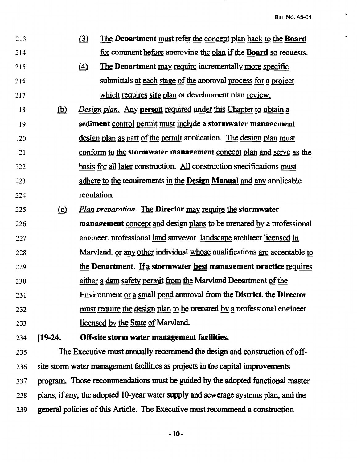| 213           |            | (3)<br>The Department must refer the concept plan back to the Board           |
|---------------|------------|-------------------------------------------------------------------------------|
| 214           |            | for comment before approving the plan if the Board so requests.               |
| 215           |            | $\Delta$<br>The Department may require incrementally more specific            |
| 216           |            | submittals at each stage of the approval process for a project                |
| 217           |            | which requires site plan or develonment plan review.                          |
| 18            | <u>(b)</u> | Design plan. Any person required under this Chapter to obtain a               |
| 19            |            | sediment control permit must include a stormwater management                  |
| :20           |            | design plan as part of the permit application. The design plan must           |
| $\frac{1}{2}$ |            | conform to the stormwater management concept plan and serve as the            |
| 222           |            | <u>basis for all later</u> construction. All construction specifications must |
| 223           |            | adhere to the requirements in the Design Manual and any applicable            |
| 224           |            | regulation.                                                                   |
| 225           | $\Omega$   | Plan preparation. The Director may require the stormwater                     |
| 226           |            | management concept and design plans to be prepared by a professional          |
| 227           |            | engineer. professional land survevor. landscape architect licensed in         |
| 228           |            | Marvland. or any other individual whose qualifications are acceptable to      |
| 229           |            | the Department. If a stormwater best management practice requires             |
| 230           |            | either a dam safety permit from the Marvland Department of the                |
| 231           |            | Environment or a small pond approval from the District. the Director          |
| 232           |            | must require the design plan to be prepared by a professional engineer        |
| 233           |            | licensed by the State of Marvland.                                            |
| 234           | $[19-24]$  | Off-site storm water management facilities.                                   |

235 The Executive must annually recommend the design and construction of off-236 site storm water management facilities as projects in the capital improvements 237 program. Those recommendations must be guided by the adopted functional master 238 plans, if any, the adopted 10-year water supply and sewerage systems plan, and the 239 general policies of this Article. The Executive must recommend a construction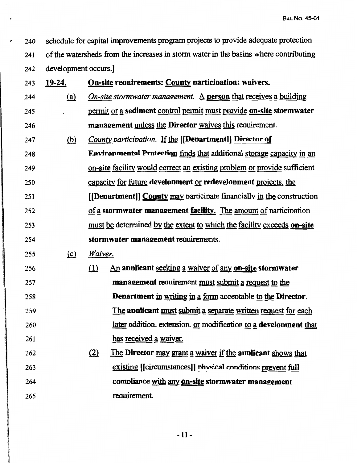<sup>~</sup>240 241 242 schedule for capital improvements program projects to provide adequate protection of the watersheds from the increases in stonn water in the basins where contributing development occurs.]

243 244 245 246 247 248 249 250 251 252 253 254 255 256 257 258 259 260 261 262 263 264 265 **19-24. On-site reauirements: County oarticioation: waivers.**  (a) *On-site stormwater management.* A **person** that receives a building permit or a sediment control permit must provide on-site stormwater **manaeement** unless the **Director** waives this reouirement. (b) *County participation.* If the [[Denartment]] Director of **Environmental Protection finds that additional storage capacity in an on-site** facility would correct an existing problem or provide sufficient capacity for future **develooment** or **redevelooment** projects, the **[[Deoartmentl) County** may narticinate financiallv in the construction of a stormwater management facility. The amount of narticination must be determined by the extent to which the facility exceeds on-site **stormwater manaeement** reauirements. \_(£) *Waiver.*  (1) An **annicant** seeking a waiver of any **on-site stormwater** management requirement must submit a request to the **Department** in writing in a form accentable to the **Director**. The **annlicant** must submit a separate written request for each later addition. extension. or modification to a development that has received a waiver. illeright The **Director may grant a waiver if the anolicant** shows that existing [[circumstances]] physical conditions prevent full comnliance with any **on-site stormwater manaeement**  reauirement.

~ ;

**In the community of the community of the community of the community of the community of the community of the community of the community of the community of the community of the community of the community of the community** the Marian  $n \frac{3}{9}$ ~l I .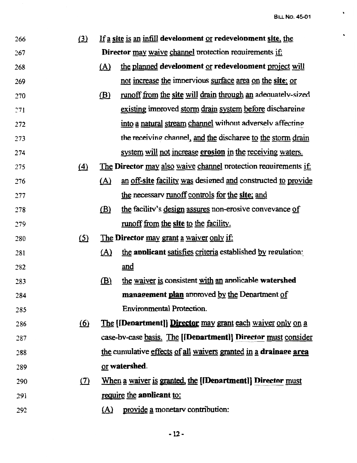$\ddot{\phantom{0}}$ 

| (3)               | ٠<br>If a site is an infill development or redevelopment site, the |                                                                  |  |  |
|-------------------|--------------------------------------------------------------------|------------------------------------------------------------------|--|--|
|                   | <b>Director may waive channel protection requirements if:</b>      |                                                                  |  |  |
|                   | <u>(A)</u>                                                         | the planned development or redevelopment project will            |  |  |
|                   |                                                                    | not increase the impervious surface area on the site; or         |  |  |
|                   | (B)                                                                | runoff from the site will drain through an adequately-sized      |  |  |
|                   |                                                                    | existing improved storm drain system before discharging          |  |  |
|                   |                                                                    | into a natural stream channel without adversely affecting        |  |  |
|                   |                                                                    | the receiving channel, and the discharge to the storm drain      |  |  |
|                   |                                                                    | system will not increase erosion in the receiving waters.        |  |  |
| $\left( 4\right)$ |                                                                    | The Director may also waive channel protection requirements if:  |  |  |
|                   | <u>(A)</u>                                                         | an off-site facility was designed and constructed to provide     |  |  |
|                   |                                                                    | the necessary runoff controls for the site; and                  |  |  |
|                   | (B)                                                                | the facility's design assures non-erosive convevance of          |  |  |
|                   |                                                                    | runoff from the site to the facility.                            |  |  |
| (5)               |                                                                    | The Director may grant a waiver only if:                         |  |  |
|                   | <u>(A)</u>                                                         | the applicant satisfies criteria established by regulation:      |  |  |
|                   |                                                                    | and                                                              |  |  |
|                   | (B)                                                                | the waiver is consistent with an applicable watershed            |  |  |
|                   |                                                                    | management plan approved by the Department of                    |  |  |
|                   |                                                                    | <b>Environmental Protection.</b>                                 |  |  |
| <u>(6)</u>        |                                                                    | The [IDenartment]] Director may grant each waiver only on a      |  |  |
|                   |                                                                    | case-by-case basis. The [IDenartment]] Director must consider    |  |  |
|                   |                                                                    | the cumulative effects of all waivers granted in a drainage area |  |  |
|                   |                                                                    | or watershed.                                                    |  |  |
| (7)               |                                                                    | When a waiver is granted, the [[Denartment]] Director must       |  |  |
|                   |                                                                    | require the applicant to:                                        |  |  |
|                   |                                                                    | provide a monetary contribution:                                 |  |  |
|                   |                                                                    | <u>(A)</u>                                                       |  |  |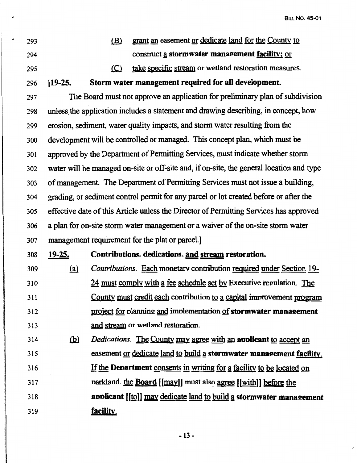$\ddot{\phantom{0}}$ 

| ۰ | 293 |               | <u>(B)</u> | grant an easement or dedicate land for the County to                                     |
|---|-----|---------------|------------|------------------------------------------------------------------------------------------|
|   | 294 |               |            | construct a stormwater management facility; or                                           |
|   | 295 |               | (C)        | take specific stream or wetland restoration measures.                                    |
|   | 296 | $[19-25]$     |            | Storm water management required for all development.                                     |
|   | 297 |               |            | The Board must not approve an application for preliminary plan of subdivision            |
|   | 298 |               |            | unless the application includes a statement and drawing describing, in concept, how      |
|   | 299 |               |            | erosion, sediment, water quality impacts, and storm water resulting from the             |
|   | 300 |               |            | development will be controlled or managed. This concept plan, which must be              |
|   | 301 |               |            | approved by the Department of Permitting Services, must indicate whether storm           |
|   | 302 |               |            | water will be managed on-site or off-site and, if on-site, the general location and type |
|   | 303 |               |            | of management. The Department of Permitting Services must not issue a building,          |
|   | 304 |               |            | grading, or sediment control permit for any parcel or lot created before or after the    |
|   | 305 |               |            | effective date of this Article unless the Director of Permitting Services has approved   |
|   | 306 |               |            | a plan for on-site storm water management or a waiver of the on-site storm water         |
|   | 307 |               |            | management requirement for the plat or parcel.]                                          |
|   | 308 | <u>19-25.</u> |            | Contributions. dedications. and stream restoration.                                      |
|   | 309 | <u>(a)</u>    |            | Contributions. Each monetary contribution required under Section 19-                     |
|   | 310 |               |            | 24 must comply with a fee schedule set by Executive regulation. The                      |
|   | 311 |               |            | County must credit each contribution to a capital improvement program                    |
|   | 312 |               |            | project for planning and implementation of stormwater management                         |
|   | 313 |               |            | and stream or wetland restoration.                                                       |
|   | 314 | <u>(b)</u>    |            | Dedications. The County may agree with an applicant to accept an                         |
|   | 315 |               |            | easement or dedicate land to build a stormwater management facility.                     |
|   | 316 |               |            | If the Department consents in writing for a facility to be located on                    |
|   | 317 |               |            | parkland. the <b>Board</b> [[may]] must also agree [[with]] before the                   |
|   | 318 |               |            | applicant [[to]] may dedicate land to build a stormwater management                      |
|   | 319 |               | facility.  |                                                                                          |
|   |     |               |            |                                                                                          |

 $\sim$   $\sim$   $z$ 

 $\cdot$ 

-13-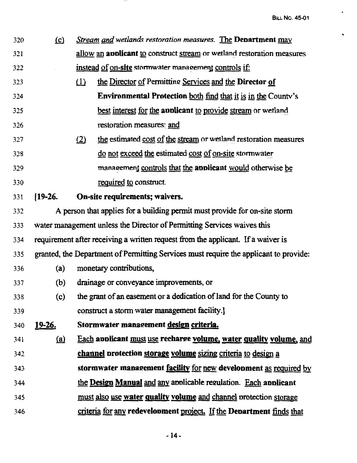$\hat{\phantom{a}}$ 

 $\hat{\mathbf{r}}$ 

| 320 | $\Omega$      |                                                                        | Stream and wetlands restoration measures. The Department may                          |  |  |
|-----|---------------|------------------------------------------------------------------------|---------------------------------------------------------------------------------------|--|--|
| 321 |               | allow an applicant to construct stream or wetland restoration measures |                                                                                       |  |  |
| 322 |               | instead of on-site stormwater management controls if:                  |                                                                                       |  |  |
| 323 |               | $\Omega$                                                               | the Director of Permitting Services and the Director of                               |  |  |
| 324 |               |                                                                        | <b>Environmental Protection both find that it is in the County's</b>                  |  |  |
| 325 |               |                                                                        | best interest for the applicant to provide stream or wetland                          |  |  |
| 326 |               |                                                                        | restoration measures: and                                                             |  |  |
| 327 |               | (2)                                                                    | the estimated cost of the stream or wetland restoration measures                      |  |  |
| 328 |               |                                                                        | do not exceed the estimated cost of on-site stormwater                                |  |  |
| 329 |               |                                                                        | management controls that the applicant would otherwise be                             |  |  |
| 330 |               |                                                                        | required to construct.                                                                |  |  |
| 331 | $[19-26]$     |                                                                        | On-site requirements; waivers.                                                        |  |  |
| 332 |               |                                                                        | A person that applies for a building permit must provide for on-site storm            |  |  |
| 333 |               |                                                                        | water management unless the Director of Permitting Services waives this               |  |  |
| 334 |               |                                                                        | requirement after receiving a written request from the applicant. If a waiver is      |  |  |
| 335 |               |                                                                        | granted, the Department of Permitting Services must require the applicant to provide: |  |  |
| 336 | (a)           | monetary contributions,                                                |                                                                                       |  |  |
| 337 | (b)           |                                                                        | drainage or conveyance improvements, or                                               |  |  |
| 338 | (c)           | the grant of an easement or a dedication of land for the County to     |                                                                                       |  |  |
| 339 |               |                                                                        | construct a storm water management facility.                                          |  |  |
| 340 | <u>19-26.</u> |                                                                        | Stormwater management design criteria.                                                |  |  |
| 341 | (a)           |                                                                        | Each applicant must use recharge volume, water quality volume, and                    |  |  |
| 342 |               |                                                                        | channel protection storage volume sizing criteria to design a                         |  |  |
| 343 |               |                                                                        | stormwater management facility for new development as required by                     |  |  |
| 344 |               |                                                                        | the Design Manual and any applicable regulation. Each applicant                       |  |  |
| 345 |               |                                                                        | must also use water quality volume and channel protection storage                     |  |  |
| 346 |               |                                                                        | criteria for any redevelopment project. If the Department finds that                  |  |  |

 $\sim$   $\sim$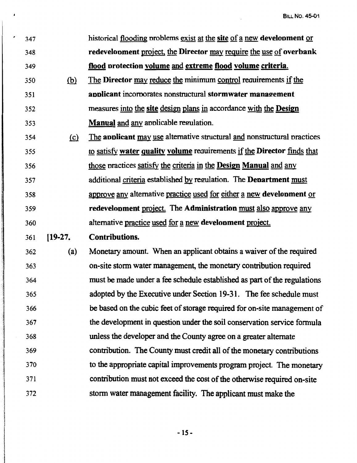$\sim 10^{-1}$ 

| 347 |            | historical flooding problems exist at the site of a new development or   |
|-----|------------|--------------------------------------------------------------------------|
| 348 |            | redevelopment project, the Director may require the use of overbank      |
| 349 |            | flood protection volume and extreme flood volume criteria.               |
| 350 | (b)        | The Director may reduce the minimum control requirements if the          |
| 351 |            | applicant incorporates nonstructural stormwater management               |
| 352 |            | measures into the site design plans in accordance with the Design        |
| 353 |            | Manual and any applicable regulation.                                    |
| 354 | <u>(c)</u> | The applicant may use alternative structural and nonstructural practices |
| 355 |            | to satisfy water quality volume requirements if the Director finds that  |
| 356 |            | those practices satisfy the criteria in the Design Manual and any        |
| 357 |            | additional criteria established by regulation. The Denartment must       |
| 358 |            | approve any alternative practice used for either a new development or    |
| 359 |            | redevelopment project. The Administration must also approve any          |
|     |            |                                                                          |
| 360 |            | alternative practice used for a new development project.                 |
| 361 | $[19-27]$  | <b>Contributions.</b>                                                    |
| 362 | (a)        | Monetary amount. When an applicant obtains a waiver of the required      |
| 363 |            | on-site storm water management, the monetary contribution required       |
| 364 |            | must be made under a fee schedule established as part of the regulations |
| 365 |            | adopted by the Executive under Section 19-31. The fee schedule must      |
| 366 |            | be based on the cubic feet of storage required for on-site management of |
| 367 |            | the development in question under the soil conservation service formula  |
| 368 |            | unless the developer and the County agree on a greater alternate         |
| 369 |            | contribution. The County must credit all of the monetary contributions   |
| 370 |            | to the appropriate capital improvements program project. The monetary    |
| 371 |            | contribution must not exceed the cost of the otherwise required on-site  |

 $\cdot$ 

**-1S-**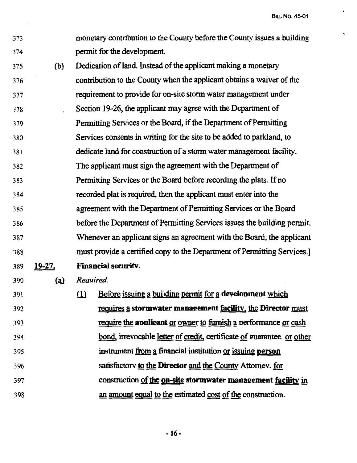373 monetary contribution to the County before the County issues a building 374 **permit for the development.** 

- 375 (b) Dedication of land. Instead of the applicant making a monetary 376 377  $378$ 379 380 381 382 383 384 385 386 387 388 contribution to the County when the applicant obtains a waiver of the requirement to provide for on-site storm water management under Section 19-26, the applicant may agree with the Department of Permitting Services or the Board, if the Department of Permitting Services consents in writing for the site to be added to parkland, to dedicate land for construction of a storm water management facility. The applicant must sign the agreement with the Department of Permitting Services or the Board before recording the plats. If no recorded plat is required, then the applicant must enter into the agreement with the Department of Permitting Services or the Board before the Department of Permitting Services issues the building permit. Whenever an applicant signs an agreement with the Board, the applicant must provide a certified copy to the Department of Permitting Services.] 389 **19-27. Financial securitv.**
- 390 **(a)** *Required.*
- 391 392 393 394 395 396 397 398 (1) Before issuing a building permit for a **development** which requires a stormwater management facility, the Director must require the **applicant** or owner to furnish a performance or cash bond, irrevocable letter of credit, certificate of guarantee. or other instrument from a financial institution or issuing **person** satisfactorv to the **Director** and the County Attomev. for construction of the **on-site stormwater manaeement facility** in an amount equal to the estimated cost of the construction.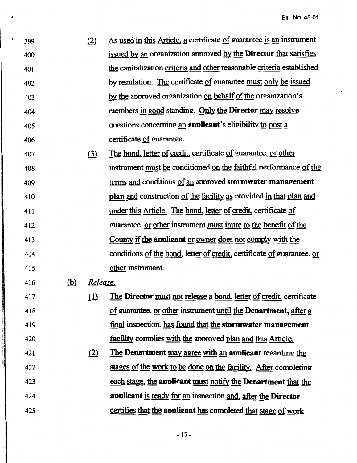| 399   | As used in this Article, a certificate of guarantee is an instrument     |
|-------|--------------------------------------------------------------------------|
| 400   | issued by an organization approved by the <b>Director</b> that satisfies |
| 401   | the capitalization criteria and other reasonable criteria established    |
| 402   | by regulation. The certificate of guarantee must only be issued          |
| $-03$ | by the approved organization on behalf of the organization's             |
| 404   | members in good standing. Only the Director may resolve                  |
| 405   | questions concerning an applicant's eligibility to post a                |
| 406   | certificate of guarantee.                                                |

407 408 409 410 411 412 413 414 415  $(3)$  The bond, letter of credit, certificate of guarantee. or other instrument must be conditioned on the faithful performance of the terms and conditions of an approved **stormwater management** plan and construction of the facility as nrovided in that plan and under this Article. The bond, letter of credit, certificate of guarantee. or other instrument must inure to the benefit of the County if the **aoolicant** or owner does not comply with the conditions of the bond, letter of credit, certificate of guarantee. or other instrument.

416 (b) *Release.* 

417 418 419 420 (1) The **Director** must not release a bond, letter of credit, certificate of guarantee. or other instrument until the **Department**, after a final inspection. has found that the **stormwater management facility** comnlies with the annroved plan and this Article.

421 422 423 424 425 <u>(2) The Department may agree with an applicant regarding the</u> stages of the work to be done on the facility. After completing each stage, the **aoolicant** must notify the **Deoartment** that the **aoolicant** is ready for an insnection and, after the **Director**  certifies that the **aoolicant** has comnleted that stage of work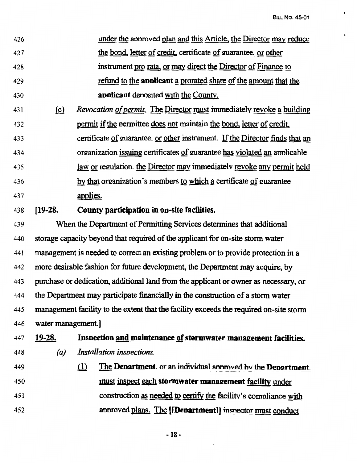| 426 | under the approved plan and this Article, the Director may reduce |
|-----|-------------------------------------------------------------------|
| 427 | the bond, letter of credit, certificate of guarantee, or other    |
| 428 | instrument pro rata, or may direct the Director of Finance to     |
| 429 | refund to the applicant a prorated share of the amount that the   |
| 430 | applicant deposited with the County.                              |

- 431 **(c)** *Revocation of permit.* The Director must immediately revoke a building 432 permit if the nermittee does not maintain the bond, letter of credit, 433 certificate of guarantee. or other instrument. If the Director finds that an 434 organization issuing certificates of guarantee has violated an applicable 435 law or regulation, the Director may immediately revoke any permit held 436 by that organization's members to which a certificate of guarantee 437 applies.
- 438 **[19-28. County participation** in **on-site facilities.**

439 When the Department of Pennitting Services determines that additional 440 storage capacity beyond that required of the applicant for on-site storm water 441 management is needed to correct an existing problem or to provide protection in a 442 more desirable fashion for future development, the Department may acquire, by 443 purchase or dedication, additional land from the applicant or owner as necessary, or 444 the Department may participate financially in the construction of a storm water 445 management facility to the extent that the facility exceeds the required on-site storm 446 water management.]

- 147 **19-28. Inspection <u>and</u> maintenance <u>of</u> stormwater management facilities.**<br>448 (a) Installation inspections.
- 449 450 451 452 ill The **Denartment**. or an individual annoved by the **Denartment.** must inspect each **stormwater manaeement facility** under construction as needed to certify the facility's comnliance with annroved plans. The [Denartment]] inspector must conduct

- **18-**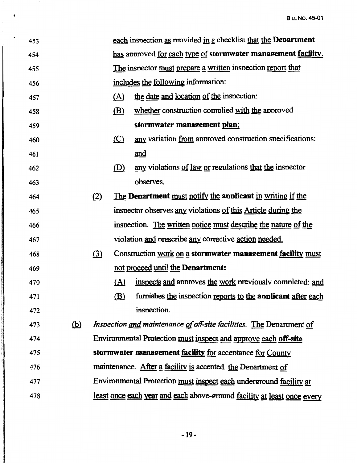| ٠<br>453 |            |     |         | each inspection as provided in a checklist that the Department          |
|----------|------------|-----|---------|-------------------------------------------------------------------------|
| 454      |            |     |         | has approved for each type of stormwater management facility.           |
| 455      |            |     |         | The inspector must prepare a written inspection report that             |
| 456      |            |     |         | includes the following information:                                     |
| 457      |            |     | (A)     | the date and location of the inspection:                                |
| 458      |            |     | (B)     | whether construction complied with the approved                         |
| 459      |            |     |         | stormwater management plan;                                             |
| 460      |            |     | $\circ$ | any variation from approved construction specifications:                |
| 461      |            |     |         | and                                                                     |
| 462      |            |     | (D)     | any violations of law or regulations that the inspector                 |
| 463      |            |     |         | observes.                                                               |
| 464      |            | (2) |         | The Department must notify the applicant in writing if the              |
| 465      |            |     |         | inspector observes any violations of this Article during the            |
| 466      |            |     |         | inspection. The written notice must describe the nature of the          |
| 467      |            |     |         | violation and prescribe any corrective action needed.                   |
| 468      |            | (3) |         | Construction work on a stormwater management facility must              |
| 469      |            |     |         | not proceed until the Department:                                       |
| 470      |            |     |         | (A) inspects and approves the work previously completed: and            |
| 471      |            |     | (B)     | furnishes the inspection reports to the applicant after each            |
| 472      |            |     |         | inspection.                                                             |
| 473      | <u>(b)</u> |     |         | Inspection and maintenance of off-site facilities. The Department of    |
| 474      |            |     |         | Environmental Protection must inspect and approve each off-site         |
| 475      |            |     |         | stormwater management facility for acceptance for County                |
| 476      |            |     |         | maintenance. After a facility is accepted. the Department of            |
| 477      |            |     |         | Environmental Protection must inspect each underground facility at      |
| 478      |            |     |         | least once each year and each above-ground facility at least once every |

 $\lambda$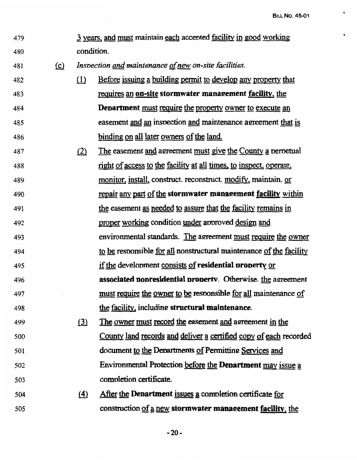$\hat{\mathbf{r}}$ 

 $\hat{\phantom{a}}$ 

| 479 |          |          | 3 years, and must maintain each accepted facility in good working   |
|-----|----------|----------|---------------------------------------------------------------------|
| 480 |          |          | condition.                                                          |
| 481 | $\Omega$ |          | Inspection and maintenance of new on-site facilities.               |
| 482 |          | $\Omega$ | Before issuing a building permit to develop any property that       |
| 483 |          |          | requires an on-site stormwater management facility, the             |
| 484 |          |          | <b>Department</b> must require the property owner to execute an     |
| 485 |          |          | easement and an inspection and maintenance agreement that is        |
| 486 |          |          | binding on all later owners of the land.                            |
| 487 |          | (2)      | The easement and agreement must give the County a perpetual         |
| 488 |          |          | right of access to the facility at all times, to inspect, operate,  |
| 489 |          |          | <u>monitor, install</u> , construct reconstruct modify, maintain or |
| 490 |          |          | repair any part of the stormwater management facility within        |
| 491 |          |          | the easement as needed to assure that the facility remains in       |
| 492 |          |          | proper working condition under approved design and                  |
| 493 |          |          | environmental standards. The agreement must require the owner       |
| 494 |          |          | to be responsible for all nonstructural maintenance of the facility |
| 495 |          |          | if the development consists of residential property or              |
| 496 |          |          | <b>associated nonresidential property.</b> Otherwise. the agreement |
| 497 |          |          | must require the owner to be responsible for all maintenance of     |
| 498 |          |          | the facility, including structural maintenance.                     |
| 499 |          | (3)      | The owner must record the easement and agreement in the             |
| 500 |          |          | County land records and deliver a certified copy of each recorded   |
| 501 |          |          | document to the Departments of Permitting Services and              |
| 502 |          |          | Environmental Protection before the Department may issue a          |
| 503 |          |          | completion certificate.                                             |
| 504 |          | $\Delta$ | After the Department issues a completion certificate for            |
| 505 |          |          | construction of a new stormwater management facility, the           |

 $\mathcal{L}^{\text{max}}_{\text{max}}$ 

-20-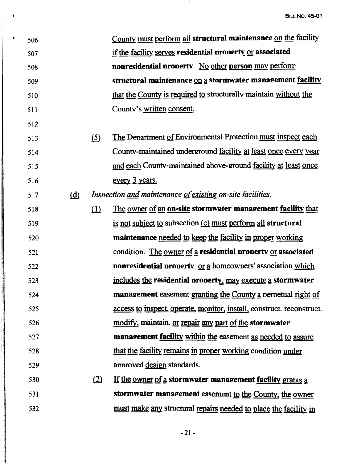| ∙ | 506 |              |            | County must perform all structural maintenance on the facility        |
|---|-----|--------------|------------|-----------------------------------------------------------------------|
|   | 507 |              |            | if the facility serves residential property or associated             |
|   | 508 |              |            | nonresidential property. No other person may perform                  |
|   | 509 |              |            | structural maintenance on a stormwater management facility            |
|   | 510 |              |            | that the County is required to structurally maintain without the      |
|   | 511 |              |            | Countv's written consent.                                             |
|   | 512 |              |            |                                                                       |
|   | 513 |              | <u>(5)</u> | The Department of Environmental Protection must inspect each          |
|   | 514 |              |            | County-maintained underground facility at least once every year       |
|   | 515 |              |            | and each County-maintained above-ground facility at least once        |
|   | 516 |              |            | every 3 years.                                                        |
|   | 517 | ( <u>d</u> ) |            | Inspection and maintenance of existing on-site facilities.            |
|   | 518 |              | $\Omega$   | The owner of an on-site stormwater management facility that           |
|   | 519 |              |            | is not subject to subsection (c) must perform all structural          |
|   | 520 |              |            | maintenance needed to keep the facility in proper working             |
|   | 521 |              |            | condition. The owner of a residential property or associated          |
|   | 522 |              |            | nonresidential property. or a homeowners' association which           |
|   | 523 |              |            | includes the residential property, may execute a stormwater           |
|   | 524 |              |            | management easement granting the County a perpetual right of          |
|   | 525 |              |            | access to inspect, operate, monitor, install, construct. reconstruct. |
|   | 526 |              |            | modify, maintain. or repair any part of the stormwater                |
|   | 527 |              |            | management <u>facility within</u> the easement as needed to assure    |
|   | 528 |              |            | that the facility remains in proper working condition under           |
|   | 529 |              |            | approved design standards.                                            |
|   | 530 |              | (2)        | If the owner of a stormwater management facility grants a             |
|   | 531 |              |            | stormwater management easement to the County, the owner               |
|   | 532 |              |            | must make any structural repairs needed to place the facility in      |

 $\bullet$ 

-21-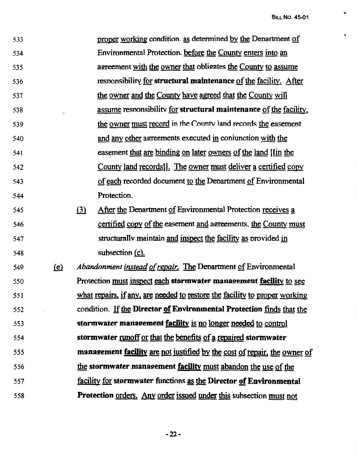..

 $\bullet$ 

| 533 |              | proper working condition. as determined by the Department of               |
|-----|--------------|----------------------------------------------------------------------------|
| 534 |              | Environmental Protection. before the County enters into an                 |
| 535 |              | agreement with the owner that obligates the County to assume               |
| 536 |              | responsibility for structural maintenance of the facility. After           |
| 537 |              | the owner and the County have agreed that the County will                  |
| 538 |              | assume responsibility for structural maintenance of the facility,          |
| 539 |              | the owner must record in the County land records the easement              |
| 540 |              | and any other agreements executed in conjunction with the                  |
| 541 |              | easement that are binding on later owners of the land [[in the             |
| 542 |              | County land records]. The owner must deliver a certified copy              |
| 543 |              | of each recorded document to the Department of Environmental               |
| 544 |              | Protection.                                                                |
| 545 |              | After the Department of Environmental Protection receives a<br>(3)         |
| 546 |              | certified copy of the easement and agreements. the County must             |
| 547 |              | structurally maintain and inspect the facility as provided in              |
| 548 |              | subsection (c).                                                            |
| 549 | $\mathbf{e}$ | Abandonment instead of repair. The Department of Environmental             |
| 550 |              | Protection must inspect each stormwater management facility to see         |
| 551 |              | what repairs, if any, are needed to restore the facility to proper working |
| 552 |              | condition. If the Director of Environmental Protection finds that the      |
| 553 |              | stormwater management facility is no longer needed to control              |
| 554 |              | stormwater nunoff or that the benefits of a repaired stormwater            |
| 555 |              | management facility are not justified by the cost of repair, the owner of  |
| 556 |              | the stormwater management facility must abandon the use of the             |
| 557 |              | facility for stormwater functions as the Director of Environmental         |
| 558 |              | <b>Protection orders.</b> Any order issued under this subsection must not  |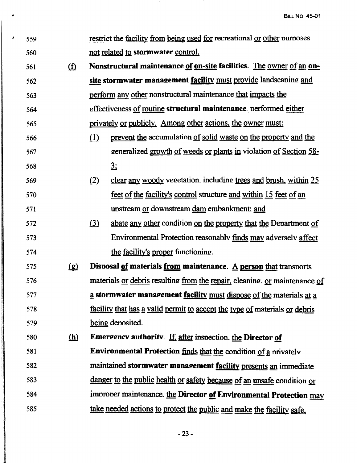| s. | 559 |            |          | restrict the facility from being used for recreational or other purposes       |
|----|-----|------------|----------|--------------------------------------------------------------------------------|
|    | 560 |            |          | not related to stormwater control.                                             |
|    | 561 | <u>(f)</u> |          | Nonstructural maintenance of on-site facilities. The owner of an on-           |
|    | 562 |            |          | site stormwater management facility must provide landscaping and               |
|    | 563 |            |          | perform any other nonstructural maintenance that impacts the                   |
|    | 564 |            |          | effectiveness of routine structural maintenance, performed either              |
|    | 565 |            |          | privately or publicly. Among other actions, the owner must:                    |
|    | 566 |            | $\Omega$ | prevent the accumulation of solid waste on the property and the                |
|    | 567 |            |          | generalized growth of weeds or plants in violation of Section 58-              |
|    | 568 |            |          | 3:                                                                             |
|    | 569 |            | (2)      | clear any woody vegetation. including trees and brush, within 25               |
|    | 570 |            |          | feet of the facility's control structure and within 15 feet of an              |
|    | 571 |            |          | upstream or downstream dam embankment: and                                     |
|    | 572 |            | (3)      | abate any other condition on the property that the Department of               |
|    | 573 |            |          | Environmental Protection reasonably finds may adversely affect                 |
|    | 574 |            |          | the facility's proper functioning.                                             |
|    | 575 | <u>(g)</u> |          | Disposal of materials from maintenance. $\underline{A}$ person that transports |
|    | 576 |            |          | materials or debris resulting from the repair, cleaning. or maintenance of     |
|    | 577 |            |          | a stormwater management facility must dispose of the materials at a            |
|    | 578 |            |          | facility that has a valid permit to accept the type of materials or debris     |
|    | 579 |            |          | being deposited.                                                               |
|    | 580 | <u>(h)</u> |          | <b>Emergency authority.</b> If, after inspection, the Director of              |
|    | 581 |            |          | Environmental Protection finds that the condition of a privately               |
|    | 582 |            |          | maintained stormwater management facility presents an immediate                |
|    | 583 |            |          | danger to the public health or safety because of an unsafe condition or        |
|    | 584 |            |          | improper maintenance. the Director of Environmental Protection may             |
|    | 585 |            |          | take needed actions to protect the public and make the facility safe,          |
|    |     |            |          |                                                                                |

*Charles Inc., Inc., Inc., Inc., Inc., Inc., Inc., Inc., Inc., Inc., Inc., Inc., Inc., Inc., Inc., Inc., Inc.,* 

 $\sim$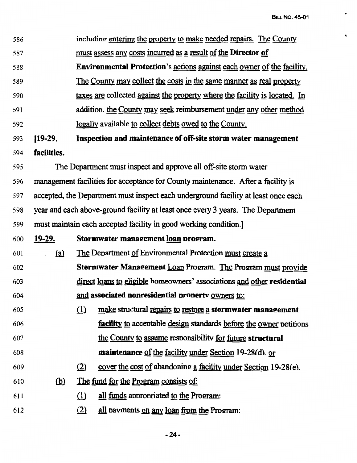•

 $\bar{\mathbf{v}}$ 

| 586 |               |          | including entering the property to make needed repairs. The County                 |
|-----|---------------|----------|------------------------------------------------------------------------------------|
| 587 |               |          | <u>must assess any costs incurred as a result of the Director of</u>               |
| 588 |               |          | <b>Environmental Protection's actions against each owner of the facility.</b>      |
| 589 |               |          | The County may collect the costs in the same manner as real property               |
| 590 |               |          | taxes are collected against the property where the facility is located. In         |
| 591 |               |          | addition. the County may seek reimbursement under any other method                 |
| 592 |               |          | legally available to collect debts owed to the County.                             |
| 593 | $[19-29]$     |          | Inspection and maintenance of off-site storm water management                      |
| 594 | facilities.   |          |                                                                                    |
| 595 |               |          | The Department must inspect and approve all off-site storm water                   |
| 596 |               |          | management facilities for acceptance for County maintenance. After a facility is   |
| 597 |               |          | accepted, the Department must inspect each underground facility at least once each |
| 598 |               |          | year and each above-ground facility at least once every 3 years. The Department    |
| 599 |               |          | must maintain each accepted facility in good working condition.                    |
| 600 | <u>19-29.</u> |          | Stormwater management loan program.                                                |
| 601 | <u>(a)</u>    |          | The Department of Environmental Protection must create a                           |
| 602 |               |          | Stormwater Management Loan Program. The Program must provide                       |
| 603 |               |          | direct loans to eligible homeowners' associations and other residential            |
| 604 |               |          | and associated nonresidential property owners to:                                  |
| 605 |               | $\Omega$ | make structural repairs to restore a stormwater management                         |
| 606 |               |          | facility to acceptable design standards before the owner petitions                 |
| 607 |               |          | the County to assume responsibility for future structural                          |
| 608 |               |          | maintenance of the facility under Section 19-28(d). or                             |
| 609 |               | (2)      | cover the cost of abandoning a facility under Section 19-28(e).                    |
| 610 | $\omega$      |          | <u>The fund for the Program consists of:</u>                                       |
| 611 |               | $\Omega$ | all funds appropriated to the Program:                                             |
| 612 |               | (2)      | all payments on any loan from the Program:                                         |
|     |               |          |                                                                                    |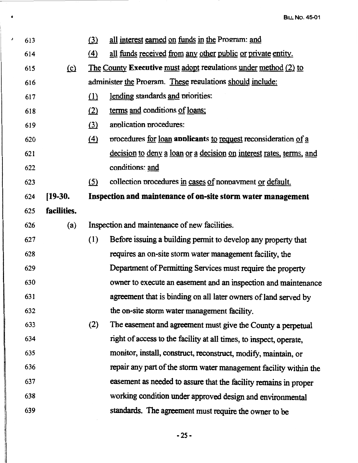| J | 613 |             | (3)               | all interest earned on funds in the Program: and                    |
|---|-----|-------------|-------------------|---------------------------------------------------------------------|
|   | 614 |             | $\left( 4\right)$ | all funds received from any other public or private entity.         |
|   | 615 | $\Omega$    |                   | The County Executive must adopt regulations under method (2) to     |
|   | 616 |             |                   | administer the Program. These regulations should include:           |
|   | 617 |             | $\Omega$          | lending standards and priorities:                                   |
|   | 618 |             | (2)               | terms and conditions of loans:                                      |
|   | 619 |             | $\Omega$          | application procedures:                                             |
|   | 620 |             | $\Delta$          | procedures for loan applicants to request reconsideration of a      |
|   | 621 |             |                   | decision to deny a loan or a decision on interest rates, terms, and |
|   | 622 |             |                   | conditions: and                                                     |
|   | 623 |             | (5)               | collection procedures in cases of nonpayment or default.            |
|   | 624 | $[19-30.]$  |                   | Inspection and maintenance of on-site storm water management        |
|   | 625 | facilities. |                   |                                                                     |
|   | 626 | (a)         |                   | Inspection and maintenance of new facilities.                       |
|   | 627 |             | (1)               | Before issuing a building permit to develop any property that       |
|   | 628 |             |                   | requires an on-site storm water management facility, the            |
|   | 629 |             |                   | Department of Permitting Services must require the property         |
|   | 630 |             |                   | owner to execute an easement and an inspection and maintenance      |
|   | 631 |             |                   | agreement that is binding on all later owners of land served by     |
|   | 632 |             |                   | the on-site storm water management facility.                        |
|   | 633 |             | (2)               | The easement and agreement must give the County a perpetual         |
|   | 634 |             |                   | right of access to the facility at all times, to inspect, operate,  |
|   | 635 |             |                   | monitor, install, construct, reconstruct, modify, maintain, or      |
|   | 636 |             |                   | repair any part of the storm water management facility within the   |
|   | 637 |             |                   | easement as needed to assure that the facility remains in proper    |
|   | 638 |             |                   | working condition under approved design and environmental           |
|   | 639 |             |                   | standards. The agreement must require the owner to be               |
|   |     |             |                   |                                                                     |

 $\bullet$ 

*-25-*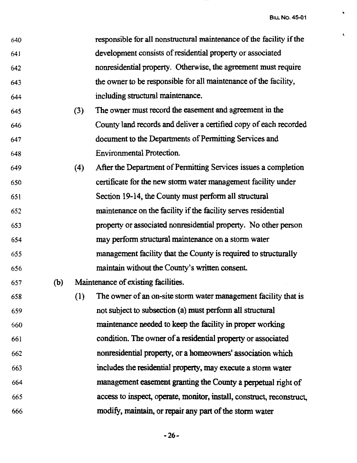$\ddot{\phantom{0}}$ 

 $\bar{\mathbf{t}}$ 

| 640 |     |     | responsible for all nonstructural maintenance of the facility if the  |
|-----|-----|-----|-----------------------------------------------------------------------|
| 641 |     |     | development consists of residential property or associated            |
| 642 |     |     | nonresidential property. Otherwise, the agreement must require        |
| 643 |     |     | the owner to be responsible for all maintenance of the facility,      |
| 644 |     |     | including structural maintenance.                                     |
| 645 |     | (3) | The owner must record the easement and agreement in the               |
| 646 |     |     | County land records and deliver a certified copy of each recorded     |
| 647 |     |     | document to the Departments of Permitting Services and                |
| 648 |     |     | <b>Environmental Protection.</b>                                      |
| 649 |     | (4) | After the Department of Permitting Services issues a completion       |
| 650 |     |     | certificate for the new storm water management facility under         |
| 651 |     |     | Section 19-14, the County must perform all structural                 |
| 652 |     |     | maintenance on the facility if the facility serves residential        |
| 653 |     |     | property or associated nonresidential property. No other person       |
| 654 |     |     | may perform structural maintenance on a storm water                   |
| 655 |     |     | management facility that the County is required to structurally       |
| 656 |     |     | maintain without the County's written consent.                        |
| 657 | (b) |     | Maintenance of existing facilities.                                   |
| 658 |     | (1) | The owner of an on-site storm water management facility that is       |
| 659 |     |     | not subject to subsection (a) must perform all structural             |
| 660 |     |     | maintenance needed to keep the facility in proper working             |
| 661 |     |     | condition. The owner of a residential property or associated          |
| 662 |     |     | nonresidential property, or a homeowners' association which           |
| 663 |     |     | includes the residential property, may execute a storm water          |
| 664 |     |     | management easement granting the County a perpetual right of          |
| 665 |     |     | access to inspect, operate, monitor, install, construct, reconstruct, |
| 666 |     |     | modify, maintain, or repair any part of the storm water               |

**-26-**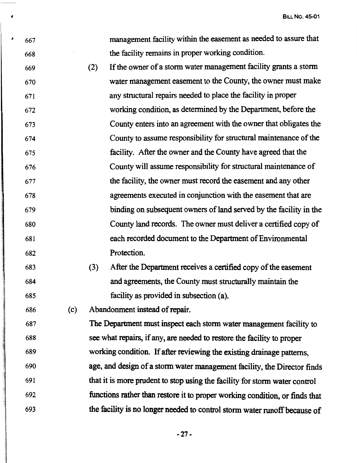| J | 667 |     |     | management facility within the easement as needed to assure that            |
|---|-----|-----|-----|-----------------------------------------------------------------------------|
|   | 668 |     |     | the facility remains in proper working condition.                           |
|   | 669 |     | (2) | If the owner of a storm water management facility grants a storm            |
|   | 670 |     |     | water management easement to the County, the owner must make                |
|   | 671 |     |     | any structural repairs needed to place the facility in proper               |
|   | 672 |     |     | working condition, as determined by the Department, before the              |
|   | 673 |     |     | County enters into an agreement with the owner that obligates the           |
|   | 674 |     |     | County to assume responsibility for structural maintenance of the           |
|   | 675 |     |     | facility. After the owner and the County have agreed that the               |
|   | 676 |     |     | County will assume responsibility for structural maintenance of             |
|   | 677 |     |     | the facility, the owner must record the easement and any other              |
|   | 678 |     |     | agreements executed in conjunction with the easement that are               |
|   | 679 |     |     | binding on subsequent owners of land served by the facility in the          |
|   | 680 |     |     | County land records. The owner must deliver a certified copy of             |
|   | 681 |     |     | each recorded document to the Department of Environmental                   |
|   | 682 |     |     | Protection.                                                                 |
|   | 683 |     | (3) | After the Department receives a certified copy of the easement              |
|   | 684 |     |     | and agreements, the County must structurally maintain the                   |
|   | 685 |     |     | facility as provided in subsection (a).                                     |
|   | 686 | (c) |     | Abandonment instead of repair.                                              |
|   | 687 |     |     | The Department must inspect each storm water management facility to         |
|   | 688 |     |     | see what repairs, if any, are needed to restore the facility to proper      |
|   | 689 |     |     | working condition. If after reviewing the existing drainage patterns,       |
|   | 690 |     |     | age, and design of a storm water management facility, the Director finds    |
|   | 691 |     |     | that it is more prudent to stop using the facility for storm water control  |
|   | 692 |     |     | functions rather than restore it to proper working condition, or finds that |
|   |     |     |     |                                                                             |

 $\mathbf{a}$ 

693 the facility is no longer needed to control storm water runoff because of

**-27-**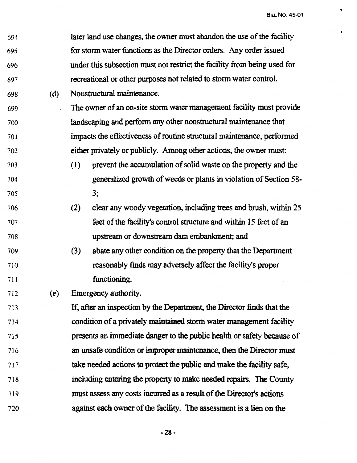..

| 694 |     | $\bullet$<br>later land use changes, the owner must abandon the use of the facility |
|-----|-----|-------------------------------------------------------------------------------------|
| 695 |     | for storm water functions as the Director orders. Any order issued                  |
| 696 |     | under this subsection must not restrict the facility from being used for            |
| 697 |     | recreational or other purposes not related to storm water control.                  |
| 698 | (d) | Nonstructural maintenance.                                                          |
| 699 |     | The owner of an on-site storm water management facility must provide                |
| 700 |     | landscaping and perform any other nonstructural maintenance that                    |
| 701 |     | impacts the effectiveness of routine structural maintenance, performed              |
| 702 |     | either privately or publicly. Among other actions, the owner must:                  |
| 703 |     | prevent the accumulation of solid waste on the property and the<br>(1)              |
| 704 |     | generalized growth of weeds or plants in violation of Section 58-                   |
| 705 |     | 3;                                                                                  |
| 706 |     | clear any woody vegetation, including trees and brush, within 25<br>(2)             |
| 707 |     | feet of the facility's control structure and within 15 feet of an                   |
| 708 |     | upstream or downstream dam embankment; and                                          |
| 709 |     | abate any other condition on the property that the Department<br>(3)                |
| 710 |     | reasonably finds may adversely affect the facility's proper                         |
| 711 |     | functioning.                                                                        |
| 712 | (e) | Emergency authority.                                                                |
| 713 |     | If, after an inspection by the Department, the Director finds that the              |
| 714 |     | condition of a privately maintained storm water management facility                 |
| 715 |     | presents an immediate danger to the public health or safety because of              |
| 716 |     | an unsafe condition or improper maintenance, then the Director must                 |
| 717 |     | take needed actions to protect the public and make the facility safe,               |
| 718 |     | including entering the property to make needed repairs. The County                  |
| 719 |     | must assess any costs incurred as a result of the Director's actions                |
| 720 |     | against each owner of the facility. The assessment is a lien on the                 |

**-28-**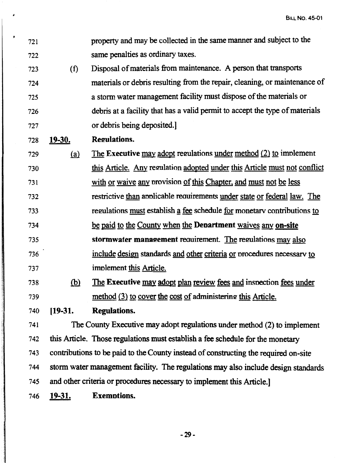| 721 |               | property and may be collected in the same manner and subject to the                 |
|-----|---------------|-------------------------------------------------------------------------------------|
| 722 |               | same penalties as ordinary taxes.                                                   |
| 723 | (f)           | Disposal of materials from maintenance. A person that transports                    |
| 724 |               | materials or debris resulting from the repair, cleaning, or maintenance of          |
| 725 |               | a storm water management facility must dispose of the materials or                  |
| 726 |               | debris at a facility that has a valid permit to accept the type of materials        |
| 727 |               | or debris being deposited.]                                                         |
| 728 | <u>19-30.</u> | <b>Regulations.</b>                                                                 |
| 729 | (a)           | The Executive may adopt regulations under method $(2)$ to implement                 |
| 730 |               | this Article. Any regulation adopted under this Article must not conflict           |
| 731 |               | with or waive any provision of this Chapter, and must not be less                   |
| 732 |               | restrictive than applicable requirements under state or federal law. The            |
| 733 |               | regulations must establish a fee schedule for monetary contributions to             |
| 734 |               | be paid to the County when the Department waives any on-site                        |
| 735 |               | stormwater management requirement. The regulations may also                         |
| 736 |               | include design standards and other criteria or procedures necessary to              |
| 737 |               | implement this Article.                                                             |
| 738 | <u>(b)</u>    | The Executive may adopt plan review fees and inspection fees under                  |
| 739 |               | method (3) to cover the cost of administering this Article.                         |
| 740 | $[19-31]$ .   | <b>Regulations.</b>                                                                 |
| 741 |               | The County Executive may adopt regulations under method (2) to implement            |
| 742 |               | this Article. Those regulations must establish a fee schedule for the monetary      |
| 743 |               | contributions to be paid to the County instead of constructing the required on-site |

744 storm water management facility. The regulations may also include design standards

745 and other criteria or procedures necessary to implement this Article.]

746 **19-31. Ex emotions.** 

**J** 

**-29-**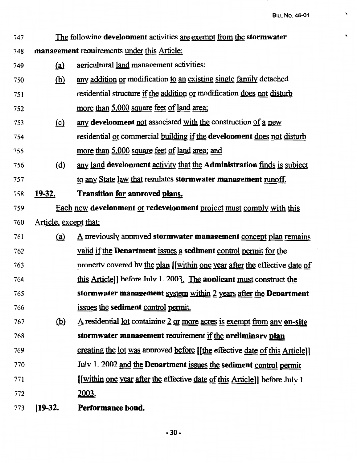$\sim$ 

 $\bar{\mathbf{x}}$ 

 $\bar{\mathbf{v}}$ 

| 747 |                       | The following development activities are exempt from the stormwater            |
|-----|-----------------------|--------------------------------------------------------------------------------|
| 748 |                       | management requirements under this Article:                                    |
| 749 | <u>(a)</u>            | agricultural land management activities:                                       |
| 750 | <u>(b)</u>            | any addition or modification to an existing single family detached             |
| 751 |                       | residential structure if the addition or modification does not disturb         |
| 752 |                       | more than 5,000 square feet of land area;                                      |
| 753 | $\Omega$              | any development not associated with the construction of a new                  |
| 754 |                       | residential or commercial building if the development does not disturb         |
| 755 |                       | more than 5,000 square feet of land area; and                                  |
| 756 | (d)                   | any land development activity that the Administration finds is subject         |
| 757 |                       | to any State law that regulates stormwater management runoff.                  |
| 758 | <u>19-32.</u>         | Transition for approved plans.                                                 |
| 759 |                       | Each new development or redevelopment project must comply with this            |
| 760 | Article, except that: |                                                                                |
| 761 | (a)                   | $\underline{A}$ previously approved stormwater management concept plan remains |
| 762 |                       | <u>valid if the Denartment issues a</u> sediment control permit for the        |
| 763 |                       | property covered by the plan [[within one year after the effective date of     |
| 764 |                       | this Article]] before July 1. 2003. The applicant must construct the           |
| 765 |                       | stormwater management system within 2 years after the Department               |
| 766 |                       | issues the sediment control permit.                                            |
| 767 | <u>(b)</u>            | A residential lot containing 2 or more acres is exempt from any on-site        |
| 768 |                       | stormwater management requirement if the preliminary plan                      |
| 769 |                       | creating the lot was approved before [[the effective date of this Article]]    |
| 770 |                       | July 1. 2002 and the Department issues the sediment control permit             |
| 771 |                       | [[within one year after the effective date of this Article]] before July 1     |
| 772 |                       | 2003.                                                                          |
| 773 | $[19-32]$             | Performance bond.                                                              |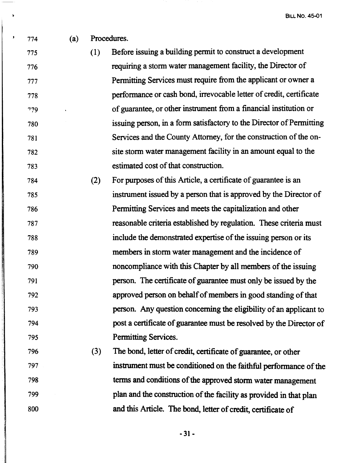774 (a) Procedures.

 $\mathbf{r}$ 

I

775 (1) Before issuing a building permit to construct a development 776 requiring a storm water management facility, the Director of 777 Permitting Services must require from the applicant or owner a 778 performance or cash bond, irrevocable letter of credit, certificate '779 of guarantee, or other instrument from a financial institution or 780 issuing person, in a form satisfactory to the Director of Permitting 781 Services and the County Attorney, for the construction of the on-782 site storm water management facility in an amount equal to the 783 estimated cost of that construction.

- 784 (2) For pwposes of this Article, a certificate of guarantee is an 785 instrument issued by a person that is approved by the Director of 786 Permitting Services and meets the capitalization and other 787 reasonable criteria established by regulation. These criteria must 788 include the demonstrated expertise of the issuing person or its 789 members in storm water management and the incidence of 790 noncompliance with this Chapter by all members of the issuing 791 person. The certificate of guarantee must only be issued by the 792 approved person on behalf of members in good standing of that 793 person. Any question concerning the eligibility of an applicant to 794 post a certificate of guarantee must be resolved by the Director of 795 Permitting Services.
- 796 (3) The bond, letter of credit, certificate of guarantee, or other 797 instrument must be conditioned on the faithful performance of the 798 terms and conditions of the approved storm water management 799 plan and the construction of the facility as provided in that plan 800 and this Article. The bond, letter of credit, certificate of

-31-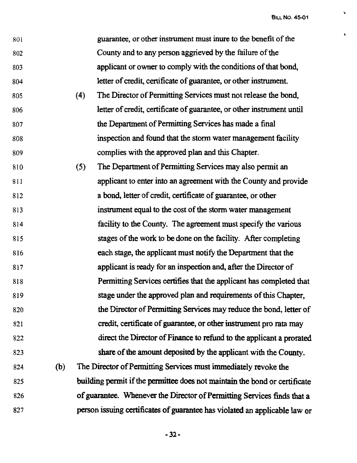$\ddot{\mathbf{v}}$ 

 $\pmb{\mathcal{L}}$ 

| applicant or owner to comply with the conditions of that bond,<br>The Director of Permitting Services must not release the bond,<br>letter of credit, certificate of guarantee, or other instrument until |
|-----------------------------------------------------------------------------------------------------------------------------------------------------------------------------------------------------------|
|                                                                                                                                                                                                           |
|                                                                                                                                                                                                           |
|                                                                                                                                                                                                           |
|                                                                                                                                                                                                           |
|                                                                                                                                                                                                           |
|                                                                                                                                                                                                           |
| inspection and found that the storm water management facility                                                                                                                                             |
|                                                                                                                                                                                                           |
|                                                                                                                                                                                                           |
| applicant to enter into an agreement with the County and provide                                                                                                                                          |
|                                                                                                                                                                                                           |
| instrument equal to the cost of the storm water management                                                                                                                                                |
| facility to the County. The agreement must specify the various                                                                                                                                            |
| stages of the work to be done on the facility. After completing                                                                                                                                           |
| each stage, the applicant must notify the Department that the                                                                                                                                             |
| applicant is ready for an inspection and, after the Director of                                                                                                                                           |
| Permitting Services certifies that the applicant has completed that                                                                                                                                       |
| stage under the approved plan and requirements of this Chapter,                                                                                                                                           |
| the Director of Permitting Services may reduce the bond, letter of                                                                                                                                        |
| credit, certificate of guarantee, or other instrument pro rata may                                                                                                                                        |
| direct the Director of Finance to refund to the applicant a prorated                                                                                                                                      |
| share of the amount deposited by the applicant with the County.                                                                                                                                           |
|                                                                                                                                                                                                           |
| building permit if the permittee does not maintain the bond or certificate                                                                                                                                |
|                                                                                                                                                                                                           |
| of guarantee. Whenever the Director of Permitting Services finds that a                                                                                                                                   |
| The Director of Permitting Services must immediately revoke the                                                                                                                                           |

-32-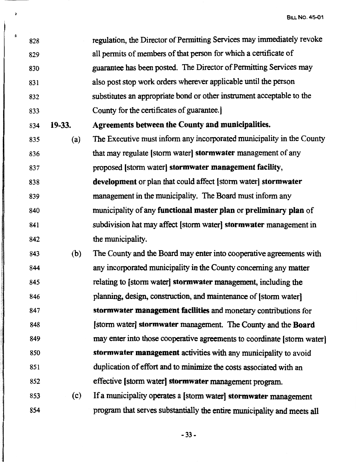828 regulation, the Director of Permitting Services may immediately revoke 829 all permits of members of that person for which a certificate of 830 guarantee has been posted. The Director of Permitting Services may 831 also post stop work orders wherever applicable until the person 832 substitutes an appropriate bond or other instrument acceptable to the 833 County for the certificates of guarantee.] 834 **19-33. Agreements between the County and municipalities.**  835 (a) The Executive must inform any incorporated municipality in the County 836 that may regulate [ storm water] **stormwater** management of any 837 proposed (storm water] **stormwater management facility,**  838 **development** or plan that could affect [ storm water] **stormwater**  839 management in the municipality. The Board must inform any 840 municipality of any **functional master plan** or **preliminary plan** of 841 subdivision hat may affect [ storm water] **stormwater** management in 842 the municipality.

ii

;I

843 (b) The County and the Board may enter into cooperative agreements with 844 any incorporated municipality in the County concerning any matter 845 relating to [ storm water] **storm.water** management, including the 846 planning, design, construction, and maintenance of [storm water] 847 **storm.water management facilities** and monetary contributions for 848 [storm water] **storm.water** management. The County and the **Board**  849 may enter into those cooperative agreements to coordinate [ storm water] 850 **stormwater management** activities with any municipality to avoid 851 duplication of effort and to minimize the costs associated with an 852 effective (storm water] **storm.water** management program.

853 (c) If a municipality operates a [ storm water] **stormwater** management 854 program that serves substantially the entire municipality and meets all

-33-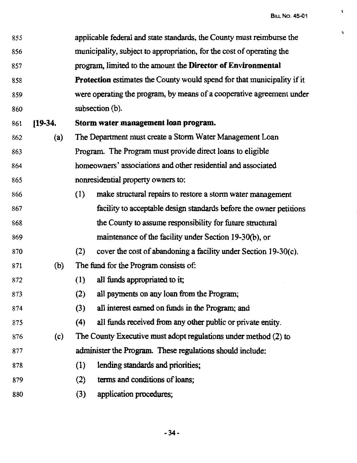'l.

 $\vec{v}$ 

| 855 |           | applicable federal and state standards, the County must reimburse the          |
|-----|-----------|--------------------------------------------------------------------------------|
| 856 |           | municipality, subject to appropriation, for the cost of operating the          |
| 857 |           | program, limited to the amount the Director of Environmental                   |
| 858 |           | <b>Protection</b> estimates the County would spend for that municipality if it |
| 859 |           | were operating the program, by means of a cooperative agreement under          |
| 860 |           | subsection (b).                                                                |
| 861 | $[19-34]$ | Storm water management loan program.                                           |
| 862 | (a)       | The Department must create a Storm Water Management Loan                       |
| 863 |           | Program. The Program must provide direct loans to eligible                     |
| 864 |           | homeowners' associations and other residential and associated                  |
| 865 |           | nonresidential property owners to:                                             |
| 866 |           | (1)<br>make structural repairs to restore a storm water management             |
| 867 |           | facility to acceptable design standards before the owner petitions             |
| 868 |           | the County to assume responsibility for future structural                      |
| 869 |           | maintenance of the facility under Section 19-30(b), or                         |
| 870 |           | (2)<br>cover the cost of abandoning a facility under Section 19-30(c).         |
| 871 | (b)       | The fund for the Program consists of:                                          |
| 872 |           | all funds appropriated to it;<br>(1)                                           |
| 873 |           | (2)<br>all payments on any loan from the Program;                              |
| 874 |           | all interest earned on funds in the Program; and<br>(3)                        |
| 875 |           | all funds received from any other public or private entity.<br>(4)             |
| 876 | (c)       | The County Executive must adopt regulations under method (2) to                |
| 877 |           | administer the Program. These regulations should include:                      |
| 878 |           | lending standards and priorities;<br>(1)                                       |
| 879 |           | terms and conditions of loans;<br>(2)                                          |
| 880 |           | application procedures;<br>(3)                                                 |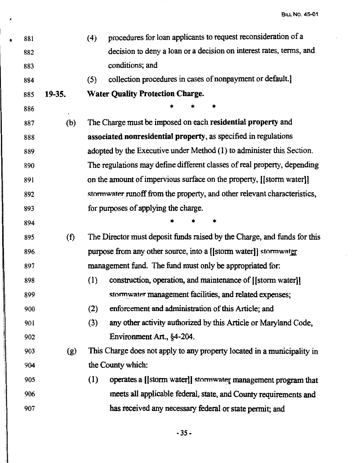| ٠ | 881 |        | (4) | procedures for loan applicants to request reconsideration of a           |
|---|-----|--------|-----|--------------------------------------------------------------------------|
|   | 882 |        |     | decision to deny a loan or a decision on interest rates, terms, and      |
|   | 883 |        |     | conditions; and                                                          |
|   | 884 |        | (5) | collection procedures in cases of nonpayment or default.                 |
|   | 885 | 19-35. |     | <b>Water Quality Protection Charge.</b>                                  |
|   | 886 |        |     | *                                                                        |
|   | 887 | (b)    |     | The Charge must be imposed on each residential property and              |
|   | 888 |        |     | associated nonresidential property, as specified in regulations          |
|   | 889 |        |     | adopted by the Executive under Method (1) to administer this Section.    |
|   | 890 |        |     | The regulations may define different classes of real property, depending |
|   | 891 |        |     | on the amount of impervious surface on the property, [[storm water]]     |
|   | 892 |        |     | stormwater runoff from the property, and other relevant characteristics, |
|   | 893 |        |     | for purposes of applying the charge.                                     |
|   | 894 |        |     |                                                                          |
|   | 895 | (f)    |     | The Director must deposit funds raised by the Charge, and funds for this |
|   | 896 |        |     | purpose from any other source, into a [[storm water]] stormwater         |
|   | 897 |        |     | management fund. The fund must only be appropriated for:                 |
|   | 898 |        | (1) | construction, operation, and maintenance of [[storm water]]              |
|   | 899 |        |     | stormwater management facilities, and related expenses;                  |
|   | 900 |        | (2) | enforcement and administration of this Article; and                      |
|   | 901 |        | (3) | any other activity authorized by this Article or Maryland Code,          |
|   | 902 |        |     | Environment Art., §4-204.                                                |
|   | 903 | (g)    |     | This Charge does not apply to any property located in a municipality in  |
|   | 904 |        |     | the County which:                                                        |
|   | 905 |        | (1) | operates a [[storm water]] stormwater management program that            |
|   | 906 |        |     | meets all applicable federal, state, and County requirements and         |
|   | 907 |        |     | has received any necessary federal or state permit; and                  |
|   |     |        |     |                                                                          |

*l* 

*-3S-*